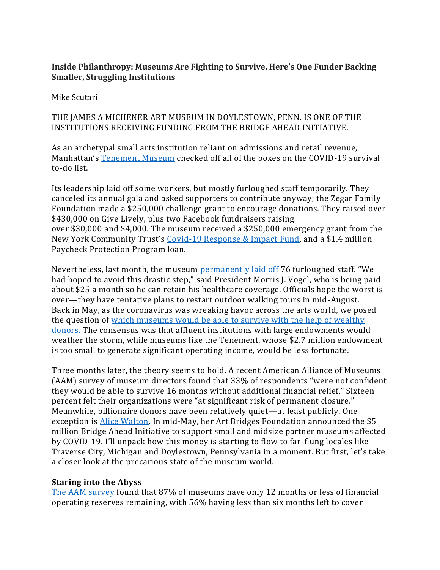# **Inside Philanthropy: Museums Are Fighting to Survive. Here's One Funder Backing Smaller, Struggling Institutions**

#### [Mike Scutari](https://urldefense.com/v3/__https:/www.insidephilanthropy.com/home?author=580fcf09197aeace22cd128f__;!!AFluOXvv_-0!QLmJq_4gCfuOs81QXvOYFoEwodMds_fs0wRkb8mbovR0MwRBYI1XbNp6cJkJ6ZriMA$)

# THE JAMES A MICHENER ART MUSEUM IN DOYLESTOWN, PENN. IS ONE OF THE INSTITUTIONS RECEIVING FUNDING FROM THE BRIDGE AHEAD INITIATIVE.

As an archetypal small arts institution reliant on admissions and retail revenue, Manhattan's [Tenement Museum](https://urldefense.com/v3/__https:/www.nytimes.com/2020/04/21/arts/design/tenement-museum-coronavirus.html__;!!AFluOXvv_-0!QLmJq_4gCfuOs81QXvOYFoEwodMds_fs0wRkb8mbovR0MwRBYI1XbNp6cJlSKiw9HQ$) checked off all of the boxes on the COVID-19 survival to-do list.

Its leadership laid off some workers, but mostly furloughed staff temporarily. They canceled its annual gala and asked supporters to contribute anyway; the Zegar Family Foundation made a \$250,000 challenge grant to encourage donations. They raised over \$430,000 on Give Lively, plus two Facebook fundraisers raising over \$30,000 and \$4,000. The museum received a \$250,000 emergency grant from the New York Community Trust's [Covid-19 Response & Impact](https://urldefense.com/v3/__https:/www.insidephilanthropy.com/home/2020/3/22/how-can-funders-most-effectively-support-an-arts-sector-decimated-by-covid-19__;!!AFluOXvv_-0!QLmJq_4gCfuOs81QXvOYFoEwodMds_fs0wRkb8mbovR0MwRBYI1XbNp6cJlb6nCAFw$) Fund, and a \$1.4 million Paycheck Protection Program loan.

Nevertheless, last month, the museum [permanently laid off](https://urldefense.com/v3/__https:/www.tenement.org/in_the_news/the-tenement-museum-announces-layoffs/__;!!AFluOXvv_-0!QLmJq_4gCfuOs81QXvOYFoEwodMds_fs0wRkb8mbovR0MwRBYI1XbNp6cJljYBVVRQ$) 76 furloughed staff. "We had hoped to avoid this drastic step," said President Morris J. Vogel, who is being paid about \$25 a month so he can retain his healthcare coverage. Officials hope the worst is over—they have tentative plans to restart outdoor walking tours in mid-August. Back in May, as the coronavirus was wreaking havoc across the arts world, we posed the question of which museums would be able to survive with the help of wealthy [donors. T](https://urldefense.com/v3/__https:/www.insidephilanthropy.com/home/2020/5/18/billionaire-donors-may-prevent-a-museum-meltdown-but-which-will-be-saved__;!!AFluOXvv_-0!QLmJq_4gCfuOs81QXvOYFoEwodMds_fs0wRkb8mbovR0MwRBYI1XbNp6cJmS_jrbAQ$)he consensus was that affluent institutions with large endowments would weather the storm, while museums like the Tenement, whose \$2.7 million endowment is too small to generate significant operating income, would be less fortunate.

Three months later, the theory seems to hold. A recent American Alliance of Museums (AAM) survey of museum directors found that 33% of respondents "were not confident they would be able to survive 16 months without additional financial relief." Sixteen percent felt their organizations were "at significant risk of permanent closure." Meanwhile, billionaire donors have been relatively quiet—at least publicly. One exception is [Alice Walton.](https://urldefense.com/v3/__https:/www.insidephilanthropy.com/home/2016/4/1/americas-most-important-arts-philanthropist-makes-her-next-b.html__;!!AFluOXvv_-0!QLmJq_4gCfuOs81QXvOYFoEwodMds_fs0wRkb8mbovR0MwRBYI1XbNp6cJn_WQEfgw$) In mid-May, her Art Bridges Foundation announced the \$5 million Bridge Ahead Initiative to support small and midsize partner museums affected by COVID-19. I'll unpack how this money is starting to flow to far-flung locales like Traverse City, Michigan and Doylestown, Pennsylvania in a moment. But first, let's take a closer look at the precarious state of the museum world.

#### **Staring into the Abyss**

[The AAM survey](https://urldefense.com/v3/__https:/www.aam-us.org/wp-content/uploads/2020/07/2020_National-Survey-of-COVID19-Impact-on-US-Museums.pdf__;!!AFluOXvv_-0!QLmJq_4gCfuOs81QXvOYFoEwodMds_fs0wRkb8mbovR0MwRBYI1XbNp6cJkpSEJy-A$) found that 87% of museums have only 12 months or less of financial operating reserves remaining, with 56% having less than six months left to cover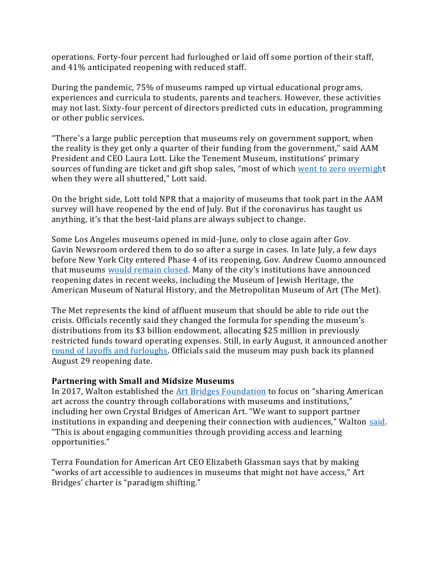operations. Forty-four percent had furloughed or laid off some portion of their staff, and 41% anticipated reopening with reduced staff.

During the pandemic, 75% of museums ramped up virtual educational programs, experiences and curricula to students, parents and teachers. However, these activities may not last. Sixty-four percent of directors predicted cuts in education, programming or other public services.

"There's a large public perception that museums rely on government support, when the reality is they get only a quarter of their funding from the government," said AAM President and CEO Laura Lott. Like the Tenement Museum, institutions' primary sources of funding are ticket and gift shop sales, "most of which [went to zero overnight](https://urldefense.com/v3/__https:/www.insidephilanthropy.com/home/2020/6/3/as-revenues-evaporate-arts-institutions-adapt-their-fundraising-to-survive__;!!AFluOXvv_-0!QLmJq_4gCfuOs81QXvOYFoEwodMds_fs0wRkb8mbovR0MwRBYI1XbNp6cJmm2nVu7Q$) when they were all shuttered," Lott said.

On the bright side, Lott told NPR that a majority of museums that took part in the AAM survey will have reopened by the end of July. But if the coronavirus has taught us anything, it's that the best-laid plans are always subject to change.

Some Los Angeles museums opened in mid-June, only to close again after Gov. Gavin Newsroom ordered them to do so after a surge in cases. In late July, a few days before New York City entered Phase 4 of its reopening, Gov. Andrew Cuomo announced that museums [would remain](https://urldefense.com/v3/__https:/www.nytimes.com/2020/07/17/arts/design/nyc-museums-phase-4.html__;!!AFluOXvv_-0!QLmJq_4gCfuOs81QXvOYFoEwodMds_fs0wRkb8mbovR0MwRBYI1XbNp6cJnOqjhRFg$) closed. Many of the city's institutions have announced reopening dates in recent weeks, including the Museum of Jewish Heritage, the American Museum of Natural History, and the Metropolitan Museum of Art (The Met).

The Met represents the kind of affluent museum that should be able to ride out the crisis. Officials recently said they changed the formula for spending the museum's distributions from its \$3 billion endowment, allocating \$25 million in previously restricted funds toward operating expenses. Still, in early August, it announced another [round of layoffs and furloughs.](https://urldefense.com/v3/__https:/www.nytimes.com/2020/08/05/arts/design/met-museum-layoffs-pandemic.html__;!!AFluOXvv_-0!QLmJq_4gCfuOs81QXvOYFoEwodMds_fs0wRkb8mbovR0MwRBYI1XbNp6cJnCsNOqqA$) Officials said the museum may push back its planned August 29 reopening date.

#### **Partnering with Small and Midsize Museums**

In 2017, Walton established the [Art Bridges Foundation](https://urldefense.com/v3/__https:/www.insidephilanthropy.com/home/2017/9/16/walton__;!!AFluOXvv_-0!QLmJq_4gCfuOs81QXvOYFoEwodMds_fs0wRkb8mbovR0MwRBYI1XbNp6cJnHEeu0RA$) to focus on "sharing American" art across the country through collaborations with museums and institutions," including her own Crystal Bridges of American Art. "We want to support partner institutions in expanding and deepening their connection with audiences," Walton [said.](https://urldefense.com/v3/__http:/www.artnews.com/2017/09/13/alice-walton-creates-art-bridges-a-foundation-that-supports-exhibitions-of-american-art/__;!!AFluOXvv_-0!QLmJq_4gCfuOs81QXvOYFoEwodMds_fs0wRkb8mbovR0MwRBYI1XbNp6cJkba2H3Ng$) "This is about engaging communities through providing access and learning opportunities."

Terra Foundation for American Art CEO Elizabeth Glassman says that by making "works of art accessible to audiences in museums that might not have access," Art Bridges' charter is "paradigm shifting."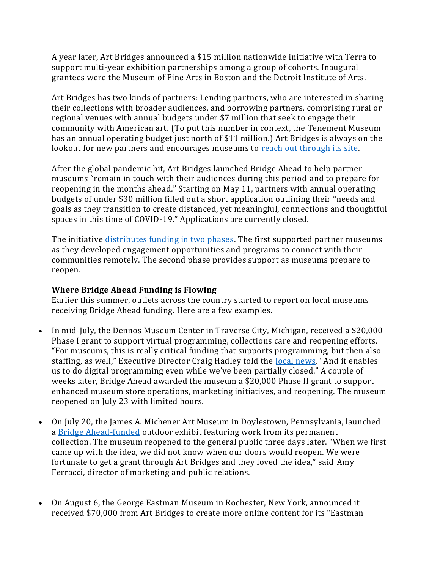A year later, Art Bridges announced a \$15 million nationwide initiative with Terra to support multi-year exhibition partnerships among a group of cohorts. Inaugural grantees were the Museum of Fine Arts in Boston and the Detroit Institute of Arts.

Art Bridges has two kinds of partners: Lending partners, who are interested in sharing their collections with broader audiences, and borrowing partners, comprising rural or regional venues with annual budgets under \$7 million that seek to engage their community with American art. (To put this number in context, the Tenement Museum has an annual operating budget just north of \$11 million.) Art Bridges is always on the lookout for new partners and encourages museums to [reach out through its site.](https://urldefense.com/v3/__https:/artbridgesfoundation.org/contact-us/__;!!AFluOXvv_-0!QLmJq_4gCfuOs81QXvOYFoEwodMds_fs0wRkb8mbovR0MwRBYI1XbNp6cJlAfJU9aw$)

After the global pandemic hit, Art Bridges launched Bridge Ahead to help partner museums "remain in touch with their audiences during this period and to prepare for reopening in the months ahead." Starting on May 11, partners with annual operating budgets of under \$30 million filled out a short application outlining their "needs and goals as they transition to create distanced, yet meaningful, connections and thoughtful spaces in this time of COVID-19." Applications are currently closed.

The initiative [distributes funding in two phases.](https://urldefense.com/v3/__https:/artbridgesfoundation.org/the-bridge-ahead-initiative-press-release/__;!!AFluOXvv_-0!QLmJq_4gCfuOs81QXvOYFoEwodMds_fs0wRkb8mbovR0MwRBYI1XbNp6cJnXw9ZL-Q$) The first supported partner museums as they developed engagement opportunities and programs to connect with their communities remotely. The second phase provides support as museums prepare to reopen.

# **Where Bridge Ahead Funding is Flowing**

Earlier this summer, outlets across the country started to report on local museums receiving Bridge Ahead funding. Here are a few examples.

- In mid-July, the Dennos Museum Center in Traverse City, Michigan, received a \$20,000 Phase I grant to support virtual programming, collections care and reopening efforts. "For museums, this is really critical funding that supports programming, but then also staffing, as well," Executive Director Craig Hadley told the [local news](https://urldefense.com/v3/__https:/www.9and10news.com/2020/07/17/dennos-museum-center-receives-grant-from-art-bridges-foundation/__;!!AFluOXvv_-0!QLmJq_4gCfuOs81QXvOYFoEwodMds_fs0wRkb8mbovR0MwRBYI1XbNp6cJksqF1rMA$). "And it enables us to do digital programming even while we've been partially closed." A couple of weeks later, Bridge Ahead awarded the museum a \$20,000 Phase II grant to support enhanced museum store operations, marketing initiatives, and reopening. The museum reopened on July 23 with limited hours.
- On July 20, the James A. Michener Art Museum in Doylestown, Pennsylvania, launched a [Bridge Ahead-funded](https://urldefense.com/v3/__https:/www.theintell.com/news/20200807/michener-art-museum-brings-art-to-streets-of-doylestown__;!!AFluOXvv_-0!QLmJq_4gCfuOs81QXvOYFoEwodMds_fs0wRkb8mbovR0MwRBYI1XbNp6cJmql98zZA$) outdoor exhibit featuring work from its permanent collection. The museum reopened to the general public three days later. "When we first came up with the idea, we did not know when our doors would reopen. We were fortunate to get a grant through Art Bridges and they loved the idea," said Amy Ferracci, director of marketing and public relations.
- On August 6, the George Eastman Museum in Rochester, New York, announced it received \$70,000 from Art Bridges to create more online content for its "Eastman